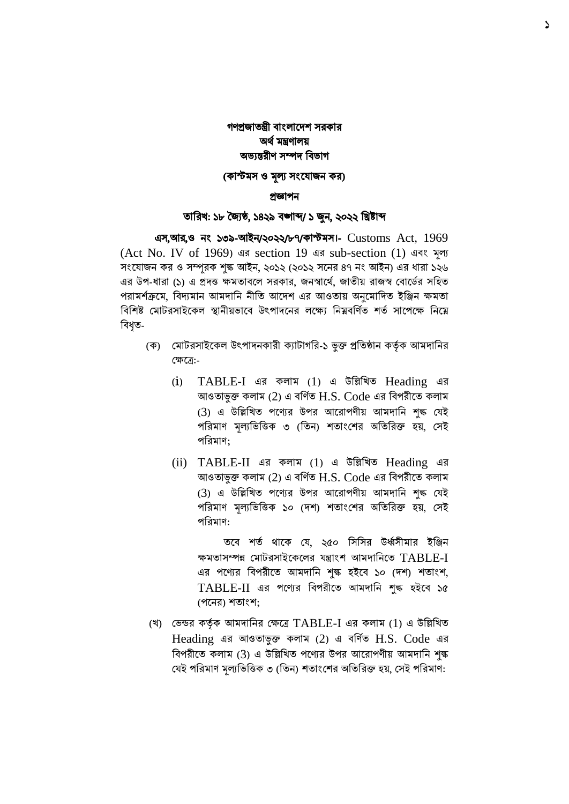# গণপ্রজাতন্ত্রী বাংলাদেশ সরকার অর্ থমন্ত্রণালয় অভ্যন্তরীণ সম্পে ববভ্াগ

### (কাস্টমস ও মূল্য সংযোজন কর)

#### প্রজ্ঞাপন

### তাবরখ: ১৮ জ্যৈষ্ঠ, ১৪২৯ বঙ্গাব্দ/ ১ জুন, ২০২২ বিষ্টাব্দ

 এস,আর,ও নাং ১৩৯-আইন/২০২২/৮৭/কাস্টমস।- Customs Act, 1969 (Act No. IV of 1969) এর section 19 এর sub-section (1) এবাং মূল্য সংযোজন কর ও সম্পূরক শুল্ক আইন, ২০১২ (২০১২ সনের ৪৭ নং আইন) এর ধারা ১২৬ এর উপ-ধারা (১) এ প্রদত্ত ক্ষমতাবলে সরকার, জনস্বার্থে, জাতীয় রাজস্ব বোর্ডের সহিত পরামর্শক্রমে, বিদ্যমান আমদানি নীতি আদেশ এর আওতায় অনুমোদিত ইঞ্জিন ক্ষমতা বিশিষ্ট মোটরসাইকেল স্থানীয়ভাবে উৎপাদনের লক্ষ্যে নিম্নবর্ণিত শর্ত সাপেক্ষে নিম্নে বিধত-

- (ক) বমাররসাইদকল উপপােনকারী কযারাগবর-১ ভুক্ত প্রবতষ্ঠান কর্তকথ আমোবনর বক্ষদে:-
	- (i) TABLE-I এর কলাম (1) এ উবিবখত Heading এর আওতাভুক্ত কলাম (2) এ বর্ণিত $H.S.$  Code এর বিপরীতে কলাম (3) এ উল্লিখিত পণ্যের উপর আরোপণীয় আমদানি শৃঙ্ক যেই পরিমাণ মূল্যভিত্তিক ৩ (তিন) শতাংশের অতিরিক্ত হয়, সেই পবরমাণ;
	- (ii) TABLE-II এর কলাম (1) এ উবিবখত Heading এর আওতাভুক্ত কলাম (2) এ বর্ণিত  $H.S.$  Code এর বিপরীতে কলাম (3) এ উল্লিখিত পণ্যের উপর আরোপণীয় আমদানি শৃঙ্ক যেই পরিমাণ মূল্যভিত্তিক ১০ (দশ) শতাংশের অতিরিক্ত হয়, সেই পবরমাণ:

তবে শর্ত থাকে যে, ২৫০ সিসির উর্ধ্বসীমার ইঞ্জিন ক্ষমতাসম্পন্ন মোটরসাইকেলের যন্ত্রাংশ আমদানিতে TABLE-I এর পণ্যের বিপরীতে আমদানি শঙ্ক হইবে ১০ (দশ) শতাংশ, TABLE-II এর পবের বিপরীবত আমদাবন শুল্ক হইবি ১৫ (পনের) শতাংশ:

(খ) বভ্ন্ডর কর্তকথ আমোবনর বক্ষদে TABLE-I এর কলাম (1) এ উবিবখত Heading এর আওতাভুক্ত কলাম (2) এ বর্ণিত H.S. Code এর বিপরীতে কলাম (3) এ উল্লিখিত পণ্যের উপর আরোপণীয় আমদানি শঙ্ক যেই পরিমাণ মূল্যভিত্তিক ৩ (তিন) শতাংশের অতিরিক্ত হয়, সেই পরিমাণ: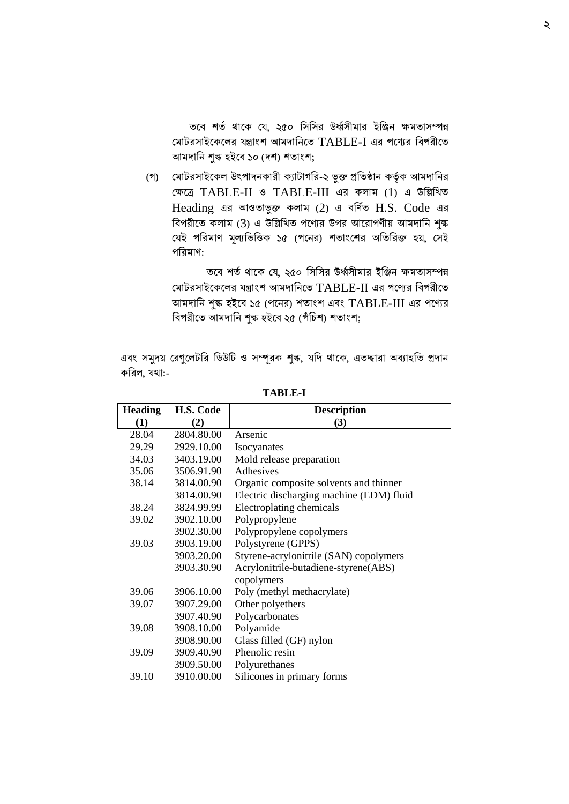তবে শর্ত থাকে যে, ২৫০ সিসির উর্ধ্বসীমার ইঞ্জিন ক্ষমতাসম্পন্ন মোটরসাইকেলের যন্ত্রাংশ আমদানিতে TABLE-I এর পণ্যের বিপরীতে আমদানি শুল্ক হইবে ১০ (দশ) শতাংশ;

(গ) বমাররসাইদকল উপপােনকারী কযারাগবর-২ ভুক্ত প্রবতষ্ঠান কর্তকথ আমোবনর বক্ষদে TABLE-II ও TABLE-III এর কলাম (1) এ উবিবখত Heading এর আওতাভুক্ত কলাম  $(2)$  এ বর্ণিত H.S. Code এর ববপরীদত কলাম (3) এ উবিবখত পদের উপর আদরাপণীয় আমোবন শুল্ক বেই পরিমাণ মূল্যভিত্তিক ১৫ (পনের) শতাংশের অতিরিক্ত হয়, সেই পবরমাণ:

তবে শর্ত থাকে যে, ২৫০ সিসির উর্ধ্বসীমার ইঞ্জিন ক্ষমতাসম্পন্ন মোটরসাইকেলের যন্ত্রাংশ আমদানিতে TABLE-II এর পণ্যের বিপরীতে আমদানি শুল্ক হইবে ১৫ (পনের) শতাংশ এবং TABLE-III এর পণ্যের বিপরীতে আমদানি শুল্ক হইবে ২৫ (পঁচিশ) শতাংশ;

এবং সমুদয় রেগুলেটরি ডিউটি ও সম্পূরক শুল্ক, যদি থাকে, এতদ্দারা অব্যাহতি প্রদান কবরল, র্া:-

| <b>Heading</b> | H.S. Code  | <b>Description</b>                       |  |  |  |
|----------------|------------|------------------------------------------|--|--|--|
| (1)            | (2)        | (3)                                      |  |  |  |
| 28.04          | 2804.80.00 | Arsenic                                  |  |  |  |
| 29.29          | 2929.10.00 | Isocyanates                              |  |  |  |
| 34.03          | 3403.19.00 | Mold release preparation                 |  |  |  |
| 35.06          | 3506.91.90 | Adhesives                                |  |  |  |
| 38.14          | 3814.00.90 | Organic composite solvents and thinner   |  |  |  |
|                | 3814.00.90 | Electric discharging machine (EDM) fluid |  |  |  |
| 38.24          | 3824.99.99 | Electroplating chemicals                 |  |  |  |
| 39.02          | 3902.10.00 | Polypropylene                            |  |  |  |
|                | 3902.30.00 | Polypropylene copolymers                 |  |  |  |
| 39.03          | 3903.19.00 | Polystyrene (GPPS)                       |  |  |  |
|                | 3903.20.00 | Styrene-acrylonitrile (SAN) copolymers   |  |  |  |
|                | 3903.30.90 | Acrylonitrile-butadiene-styrene(ABS)     |  |  |  |
|                |            | copolymers                               |  |  |  |
| 39.06          | 3906.10.00 | Poly (methyl methacrylate)               |  |  |  |
| 39.07          | 3907.29.00 | Other polyethers                         |  |  |  |
|                | 3907.40.90 | Polycarbonates                           |  |  |  |
| 39.08          | 3908.10.00 | Polyamide                                |  |  |  |
|                | 3908.90.00 | Glass filled (GF) nylon                  |  |  |  |
| 39.09          | 3909.40.90 | Phenolic resin                           |  |  |  |
|                | 3909.50.00 | Polyurethanes                            |  |  |  |
| 39.10          | 3910.00.00 | Silicones in primary forms               |  |  |  |
|                |            |                                          |  |  |  |

**TABLE-I**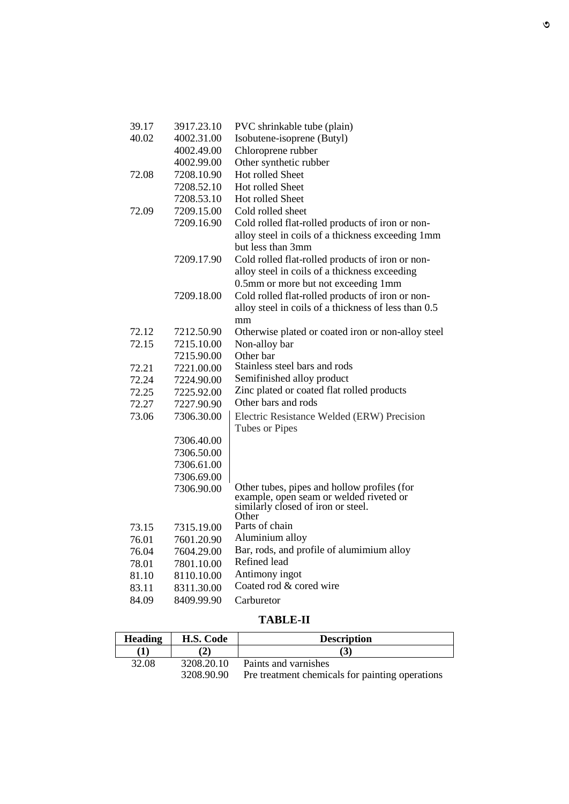| 39.17 | 3917.23.10 | PVC shrinkable tube (plain)                                                                                                           |
|-------|------------|---------------------------------------------------------------------------------------------------------------------------------------|
| 40.02 | 4002.31.00 | Isobutene-isoprene (Butyl)                                                                                                            |
|       | 4002.49.00 | Chloroprene rubber                                                                                                                    |
|       | 4002.99.00 | Other synthetic rubber                                                                                                                |
| 72.08 | 7208.10.90 | <b>Hot rolled Sheet</b>                                                                                                               |
|       | 7208.52.10 | Hot rolled Sheet                                                                                                                      |
|       | 7208.53.10 | Hot rolled Sheet                                                                                                                      |
| 72.09 | 7209.15.00 | Cold rolled sheet                                                                                                                     |
|       | 7209.16.90 | Cold rolled flat-rolled products of iron or non-<br>alloy steel in coils of a thickness exceeding 1mm<br>but less than 3mm            |
|       | 7209.17.90 | Cold rolled flat-rolled products of iron or non-                                                                                      |
|       |            | alloy steel in coils of a thickness exceeding                                                                                         |
|       |            | 0.5mm or more but not exceeding 1mm                                                                                                   |
|       | 7209.18.00 | Cold rolled flat-rolled products of iron or non-                                                                                      |
|       |            | alloy steel in coils of a thickness of less than 0.5                                                                                  |
|       |            | mm                                                                                                                                    |
| 72.12 | 7212.50.90 | Otherwise plated or coated iron or non-alloy steel                                                                                    |
| 72.15 | 7215.10.00 | Non-alloy bar                                                                                                                         |
|       | 7215.90.00 | Other bar                                                                                                                             |
| 72.21 | 7221.00.00 | Stainless steel bars and rods                                                                                                         |
| 72.24 | 7224.90.00 | Semifinished alloy product                                                                                                            |
| 72.25 | 7225.92.00 | Zinc plated or coated flat rolled products                                                                                            |
| 72.27 | 7227.90.90 | Other bars and rods                                                                                                                   |
| 73.06 | 7306.30.00 | Electric Resistance Welded (ERW) Precision<br>Tubes or Pipes                                                                          |
|       | 7306.40.00 |                                                                                                                                       |
|       | 7306.50.00 |                                                                                                                                       |
|       | 7306.61.00 |                                                                                                                                       |
|       | 7306.69.00 |                                                                                                                                       |
|       | 7306.90.00 | Other tubes, pipes and hollow profiles (for<br>example, open seam or welded riveted or<br>similarly closed of iron or steel.<br>Other |
| 73.15 | 7315.19.00 | Parts of chain                                                                                                                        |
| 76.01 | 7601.20.90 | Aluminium alloy                                                                                                                       |
| 76.04 | 7604.29.00 | Bar, rods, and profile of alumimium alloy                                                                                             |
| 78.01 | 7801.10.00 | Refined lead                                                                                                                          |
| 81.10 | 8110.10.00 | Antimony ingot                                                                                                                        |
| 83.11 | 8311.30.00 | Coated rod & cored wire                                                                                                               |
|       | 8409.99.90 | Carburetor                                                                                                                            |
| 84.09 |            |                                                                                                                                       |

## **TABLE-II**

| <b>Heading</b> | H.S. Code  | <b>Description</b>                              |  |
|----------------|------------|-------------------------------------------------|--|
|                |            | (3)                                             |  |
| 32.08          | 3208.20.10 | Paints and varnishes                            |  |
|                | 3208.90.90 | Pre treatment chemicals for painting operations |  |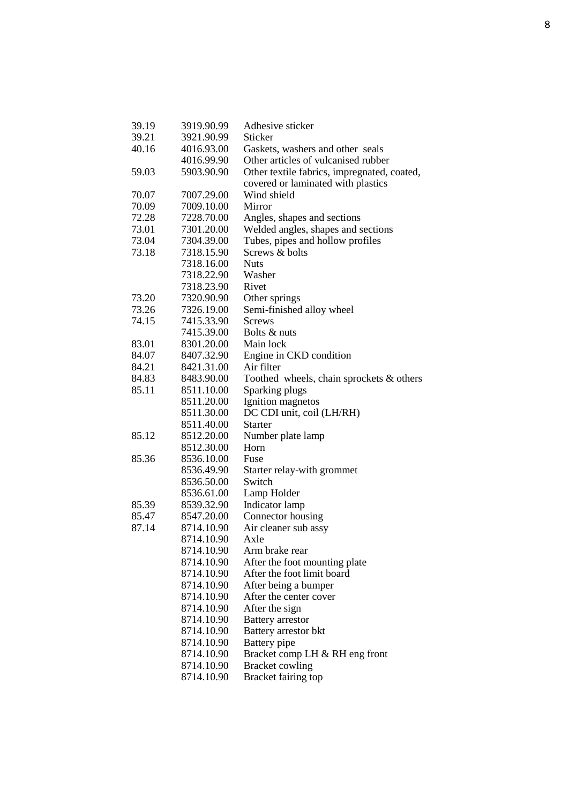| 39.19 | 3919.90.99 | Adhesive sticker                            |  |  |
|-------|------------|---------------------------------------------|--|--|
| 39.21 | 3921.90.99 | Sticker                                     |  |  |
| 40.16 | 4016.93.00 | Gaskets, washers and other seals            |  |  |
|       | 4016.99.90 | Other articles of vulcanised rubber         |  |  |
| 59.03 | 5903.90.90 | Other textile fabrics, impregnated, coated, |  |  |
|       |            | covered or laminated with plastics          |  |  |
| 70.07 | 7007.29.00 | Wind shield                                 |  |  |
| 70.09 | 7009.10.00 | Mirror                                      |  |  |
| 72.28 | 7228.70.00 | Angles, shapes and sections                 |  |  |
| 73.01 | 7301.20.00 | Welded angles, shapes and sections          |  |  |
| 73.04 | 7304.39.00 | Tubes, pipes and hollow profiles            |  |  |
| 73.18 | 7318.15.90 | Screws & bolts                              |  |  |
|       | 7318.16.00 | <b>Nuts</b>                                 |  |  |
|       | 7318.22.90 | Washer                                      |  |  |
|       | 7318.23.90 | Rivet                                       |  |  |
| 73.20 | 7320.90.90 | Other springs                               |  |  |
| 73.26 | 7326.19.00 | Semi-finished alloy wheel                   |  |  |
| 74.15 | 7415.33.90 | <b>Screws</b>                               |  |  |
|       | 7415.39.00 | Bolts & nuts                                |  |  |
| 83.01 | 8301.20.00 | Main lock                                   |  |  |
| 84.07 | 8407.32.90 | Engine in CKD condition                     |  |  |
| 84.21 | 8421.31.00 | Air filter                                  |  |  |
| 84.83 | 8483.90.00 | Toothed wheels, chain sprockets & others    |  |  |
| 85.11 | 8511.10.00 | Sparking plugs                              |  |  |
|       | 8511.20.00 | Ignition magnetos                           |  |  |
|       | 8511.30.00 | DC CDI unit, coil (LH/RH)                   |  |  |
|       | 8511.40.00 | <b>Starter</b>                              |  |  |
| 85.12 | 8512.20.00 | Number plate lamp                           |  |  |
|       | 8512.30.00 | Horn                                        |  |  |
| 85.36 | 8536.10.00 | Fuse                                        |  |  |
|       | 8536.49.90 | Starter relay-with grommet                  |  |  |
|       | 8536.50.00 | Switch                                      |  |  |
|       | 8536.61.00 | Lamp Holder                                 |  |  |
| 85.39 | 8539.32.90 | Indicator lamp                              |  |  |
| 85.47 | 8547.20.00 | Connector housing                           |  |  |
| 87.14 | 8714.10.90 | Air cleaner sub assy                        |  |  |
|       | 8714.10.90 | Axle                                        |  |  |
|       | 8714.10.90 | Arm brake rear                              |  |  |
|       | 8714.10.90 | After the foot mounting plate               |  |  |
|       | 8714.10.90 | After the foot limit board                  |  |  |
|       | 8714.10.90 | After being a bumper                        |  |  |
|       | 8714.10.90 | After the center cover                      |  |  |
|       | 8714.10.90 | After the sign                              |  |  |
|       | 8714.10.90 | <b>Battery</b> arrestor                     |  |  |
|       | 8714.10.90 | Battery arrestor bkt                        |  |  |
|       | 8714.10.90 | Battery pipe                                |  |  |
|       | 8714.10.90 | Bracket comp LH & RH eng front              |  |  |
|       | 8714.10.90 | <b>Bracket cowling</b>                      |  |  |
|       | 8714.10.90 | Bracket fairing top                         |  |  |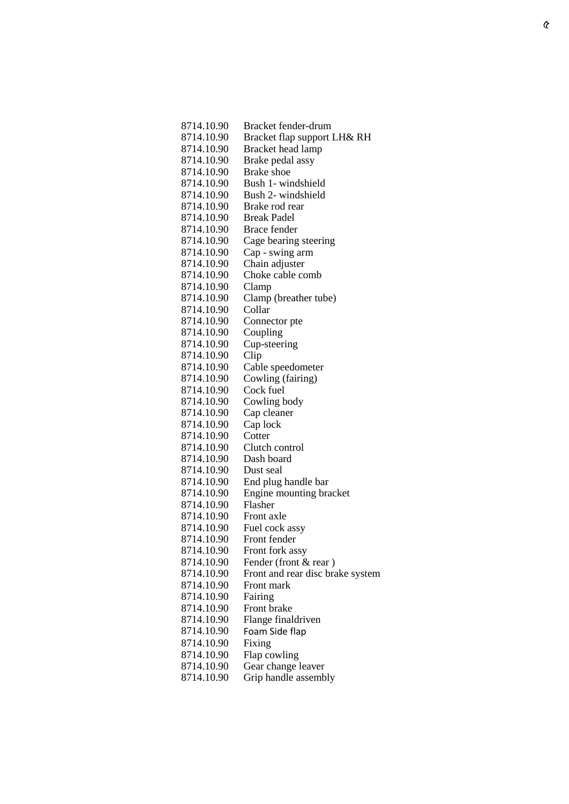| 8714.10.90   | Bracket fender-drum              |
|--------------|----------------------------------|
| 8714.10.90   | Bracket flap support LH& RH      |
| 8714.10.90   | Bracket head lamp                |
| 8714.10.90   | Brake pedal assy                 |
| 8714.10.90   | <b>Brake</b> shoe                |
| 8714.10.90   | Bush 1- windshield               |
| 8714.10.90   | Bush 2- windshield               |
| 8714.10.90   | Brake rod rear                   |
| 8714.10.90   | <b>Break Padel</b>               |
| 8714.10.90   | Brace fender                     |
| 8714.10.90   | Cage bearing steering            |
| 8714.10.90   | Cap - swing arm                  |
| 8714.10.90   | Chain adjuster                   |
| 8714.10.90   | Choke cable comb                 |
| 8714.10.90   | Clamp                            |
| 8714.10.90   | Clamp (breather tube)            |
| 8714.10.90   | Collar                           |
| 8714.10.90   | Connector pte                    |
| 8714.10.90   | Coupling                         |
| 8714.10.90   | Cup-steering                     |
| 8714.10.90   | Clip                             |
| 8714.10.90   | Cable speedometer                |
| 8714.10.90   | Cowling (fairing)                |
| 8714.10.90   | Cock fuel                        |
| 8714.10.90   | Cowling body                     |
| 8714.10.90   | Cap cleaner                      |
| 8714.10.90   | Cap lock                         |
| 8714.10.90   | Cotter                           |
| 8714.10.90   | Clutch control                   |
| 8714.10.90   | Dash board                       |
| 8714.10.90   | Dust seal                        |
| 8714.10.90   | End plug handle bar              |
| 8714.10.90   | Engine mounting bracket          |
| 8714.10.90   | Flasher                          |
| 8714.10.90   | Front axle                       |
| 8714.10.90   | Fuel cock assy                   |
| 8714.10.90   | Front fender                     |
| 8714.10.90   | Front fork assy                  |
| 8714.10.90   | Fender (front & rear)            |
| 8714.10.90   | Front and rear disc brake system |
| 8714.10.90   | Front mark                       |
| 8714.10.90   | Fairing                          |
| 8714.10.90   | Front brake                      |
| 8714.10.90   | Flange finaldriven               |
| 8714.10.90   | Foam Side flap                   |
| 8714.10.90   | Fixing                           |
| 8714.10.90   | Flap cowling                     |
| 8714.10.90   | Gear change leaver               |
| 0714, 10, 00 | Line hondle cocomple             |

8714.10.90 Grip handle assembly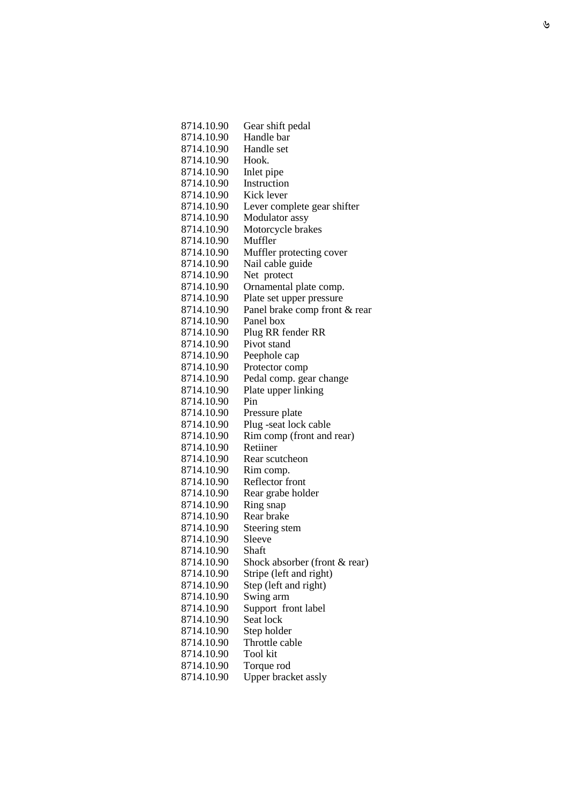| 8714.10.90               | Gear shift pedal              |
|--------------------------|-------------------------------|
| 8714.10.90               | Handle bar                    |
| 8714.10.90               | Handle set                    |
| 8714.10.90               | Hook.                         |
| 8714.10.90               | Inlet pipe                    |
| 8714.10.90               | Instruction                   |
| 8714.10.90               | Kick lever                    |
| 8714.10.90               | Lever complete gear shifter   |
| 8714.10.90               | Modulator assy                |
| 8714.10.90               | Motorcycle brakes             |
| 8714.10.90               | Muffler                       |
| 8714.10.90               | Muffler protecting cover      |
| 8714.10.90               | Nail cable guide              |
| 8714.10.90               | Net protect                   |
| 8714.10.90               | Ornamental plate comp.        |
| 8714.10.90               | Plate set upper pressure      |
| 8714.10.90               | Panel brake comp front & rear |
| 8714.10.90               | Panel box                     |
| 8714.10.90               | Plug RR fender RR             |
| 8714.10.90               | Pivot stand                   |
| 8714.10.90               | Peephole cap                  |
| 8714.10.90               | Protector comp                |
| 8714.10.90               | Pedal comp. gear change       |
| 8714.10.90               | Plate upper linking           |
| 8714.10.90               | Pin                           |
| 8714.10.90               | Pressure plate                |
| 8714.10.90               | Plug -seat lock cable         |
| 8714.10.90               | Rim comp (front and rear)     |
| 8714.10.90               | Retiiner                      |
| 8714.10.90               | Rear scutcheon                |
| 8714.10.90               | Rim comp.                     |
| 8714.10.90               | Reflector front               |
| 8714.10.90               | Rear grabe holder             |
| 8714.10.90               | Ring snap                     |
| 8714.10.90               | Rear brake                    |
| 8714.10.90<br>8714.10.90 | Steering stem<br>Sleeve       |
| 8714.10.90               | Shaft                         |
| 8714.10.90               | Shock absorber (front & rear) |
| 8714.10.90               | Stripe (left and right)       |
| 8714.10.90               | Step (left and right)         |
| 8714.10.90               | Swing arm                     |
| 8714.10.90               | Support front label           |
| 8714.10.90               | Seat lock                     |
| 8714.10.90               | Step holder                   |
| 8714.10.90               | Throttle cable                |
| 8714.10.90               | Tool kit                      |
| 8714.10.90               | Torque rod                    |
| 8714.10.90               | Upper bracket assly           |
|                          |                               |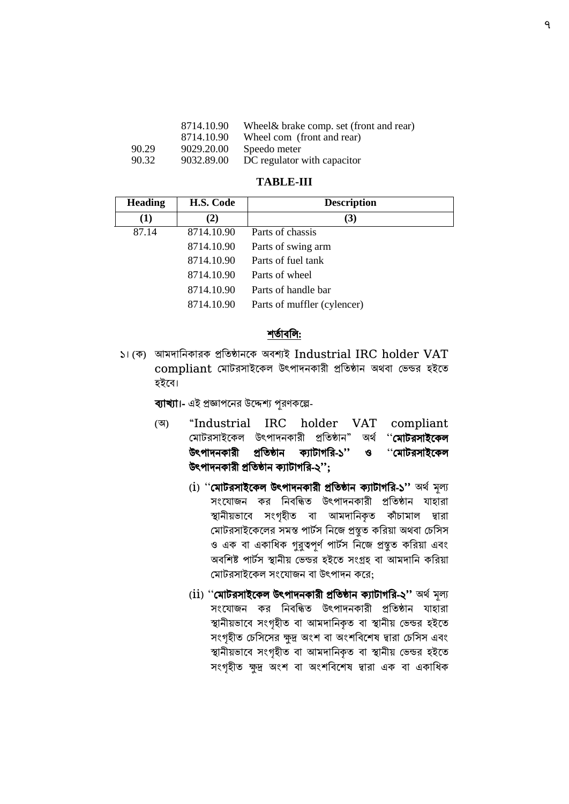|       | 8714.10.90 | Wheel& brake comp. set (front and rear) |
|-------|------------|-----------------------------------------|
|       | 8714.10.90 | Wheel com (front and rear)              |
| 90.29 | 9029.20.00 | Speedo meter                            |
| 90.32 | 9032.89.00 | DC regulator with capacitor             |
|       |            |                                         |

#### **TABLE-III**

| <b>Heading</b> | H.S. Code  | <b>Description</b>          |
|----------------|------------|-----------------------------|
| (1)            | (2)        | (3)                         |
| 87.14          | 8714.10.90 | Parts of chassis            |
|                | 8714.10.90 | Parts of swing arm          |
|                | 8714.10.90 | Parts of fuel tank          |
|                | 8714.10.90 | Parts of wheel              |
|                | 8714.10.90 | Parts of handle bar         |
|                | 8714.10.90 | Parts of muffler (cylencer) |

#### শতাতিবে:

১। (ক) আমোবনকারক প্রবতষ্ঠানদক অবশ্যই Industrial IRC holder VAT compliant মোটরসাইকেল উৎপাদনকারী প্রতিষ্ঠান অথবা ভেন্ডর হইতে িইদব।

ব্যাখ্যা।- এই প্রজ্ঞাপদনর উদেশ্য পূরণকদে-

- (অ) "Industrial IRC holder VAT compliant মোটরসাইকেল উৎপাদনকারী প্রতিষ্ঠান" অর্থ '**মোটরসাইকেল** উপপােনকারী প্রবতষ্ঠান কযারাগবর-১'' ও ''বমাররসাইদকল উপপােনকারী প্রবতষ্ঠান কযারাগবর-২'';
	- (i) ''বমাররসাইদকল উপপােনকারী প্রবতষ্ঠান কযারাগবর-১'' অর্থমূল্য সংযোজন কর নিবন্ধিত উৎপাদনকারী প্রতিষ্ঠান যাহারা স্থানীয়ভাবে সংগৃহীত বা আমদানিকৃত কাঁচামাল দ্বারা মোটরসাইকেলের সমস্ত পার্টস নিজে প্রস্তুত করিয়া অথবা চেসিস ও এক বা একাধিক গুরুত্বপূর্ণ পার্টস নিজে প্রস্তুত করিয়া এবং অবশিষ্ট পার্টস স্থানীয় ভেন্ডর হইতে সংগ্রহ বা আমদানি করিয়া মোটরসাইকেল সংযোজন বা উৎপাদন করে;
	- (ii) ''বমাররসাইদকল উপপােনকারী প্রবতষ্ঠান কযারাগবর-২'' অর্থমূল্য সংযোজন কর নিবন্ধিত উৎপাদনকারী প্রতিষ্ঠান যাহারা স্থানীয়ভাবে সংগৃহীত বা আমদানিকৃত বা স্থানীয় ভেন্ডর হইতে সংগৃহীত চেসিসের ক্ষুদ্র অংশ বা অংশবিশেষ দ্বারা চেসিস এবং স্থানীয়ভাবে সংগৃহীত বা আমদানিকৃত বা স্থানীয় ভেন্ডর হইতে সংগৃহীত ক্ষুদ্র অংশ বা অংশবিশেষ দ্বারা এক বা একাধিক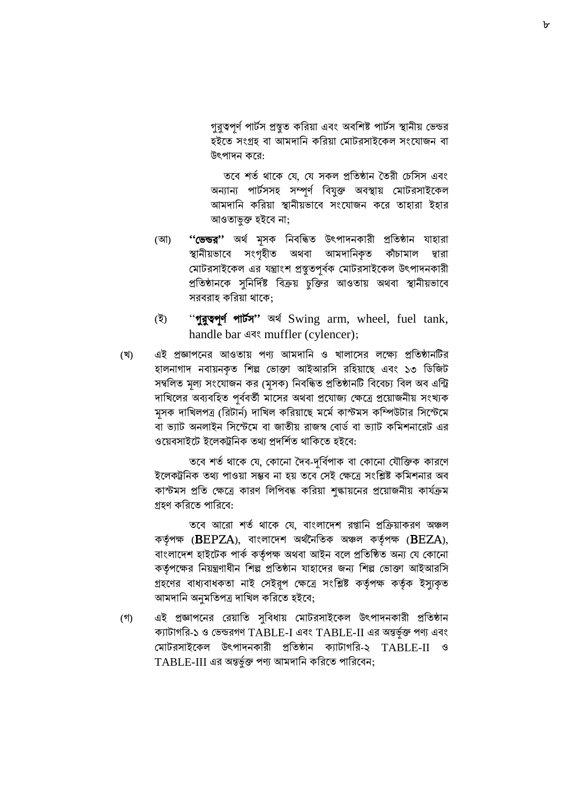গুরুত্বপূর্ণ পার্টস প্রস্তুত করিয়া এবং অবশিষ্ট পার্টস স্থানীয় ভেন্ডর হইতে সংগ্রহ বা আমদানি করিয়া মোটরসাইকেল সংযোজন বা উপপােন কদর:

তবে শর্ত থাকে যে, যে সকল প্রতিষ্ঠান তৈরী চেসিস এবং অন্যান্য পার্টসসহ সম্পূর্ণ বিযুক্ত অবস্থায় মোটরসাইকেল আমদানি করিয়া স্থানীয়ভাবে সংযোজন করে তাহারা ইহার আওতাভুক্ত িইদব না;

- (আ) "'তেন্ডর'' অর্থ মূসক নিবন্ধিত উৎপাদনকারী প্রতিষ্ঠান যাহারা স্থানীয়ভাবে সংগৃহীত অথবা আমদানিকৃত কাঁচামাল দ্বারা মোটরসাইকেল এর যন্ত্রাংশ প্রস্তুতপূর্বক মোটরসাইকেল উৎপাদনকারী প্রতিষ্ঠানকে সুনির্দিষ্ট বিক্রয় চুক্তির আওতায় অথবা স্থানীয়ভাবে সরবরাহ করিয়া থাকে:
- (ই) "গুরুতপূর্ণ পার্টস" অর্থ Swing arm, wheel, fuel tank, handle bar এবং muffler (cylencer);
- (খ) এই প্রজ্ঞাপনের আওতায় পণ্য আমদানি ও খালাসের লক্ষ্যে প্রতিষ্ঠানটির হালনাগাদ নবায়নকৃত শিল্প ভোক্তা আইআরসি রহিয়াছে এবং ১৩ ডিজিট সম্বলিত মূল্য সংযোজন কর (মূসক) নিবন্ধিত প্রতিষ্ঠানটি বিবেচ্য বিল অব এন্ট্রি দাখিলের অব্যবহিত পূর্ববর্তী মাসের অথবা প্রযোজ্য ক্ষেত্রে প্রয়োজনীয় সংখ্যক মূসক দাখিলপত্র (রিটার্ন) দাখিল করিয়াছে মর্মে কাস্টমস কম্পিউটার সিস্টেমে বা ভ্যাট অনলাইন সিস্টেমে বা জাতীয় রাজস্ব বোর্ড বা ভ্যাট কমিশনারেট এর ওয়েবসাইটে ইলেকট্রনিক তথ্য প্রদর্শিত থাকিতে হইবে:

তবে শর্ত থাকে যে, কোনো দৈব-দূর্বিপাক বা কোনো যৌক্তিক কারণে ইলেকট্রনিক তথ্য পাওয়া সম্ভব না হয় তবে সেই ক্ষেত্রে সংশ্লিষ্ট কমিশনার অব কাস্টমস প্রতি ক্ষেত্রে কারণ লিপিবদ্ধ করিয়া শুল্কায়নের প্রয়োজনীয় কার্যক্রম গ্রহণ করিতে পারিবে:

তবে আরো শর্ত থাকে যে, বাংলাদেশ রপ্তানি প্রক্রিয়াকরণ অঞ্চল কর্তৃপক্ষ (BEPZA), বাংলাদেশ অর্থনৈতিক অঞ্চল কর্তৃপক্ষ (BEZA), বাংলাদেশ হাইটেক পাৰ্ক কর্তৃপক্ষ অথবা আইন বলে প্রতিষ্ঠিত অন্য যে কোনো কর্তৃপক্ষের নিয়ন্ত্রণাধীন শিল্প প্রতিষ্ঠান যাহাদের জন্য শিল্প ভোক্তা আইআরসি গ্রহণের বাধ্যবাধকতা নাই সেইরূপ ক্ষেত্রে সংশ্লিষ্ট কর্তৃপক্ষ কর্তৃক ইস্যুকৃত আমদানি অনুমতিপত্র দাখিল করিতে হইবে;

(গ) এই প্রজ্ঞাপদনর বরয়াবত সুববধায় বমাররসাইদকল উপপােনকারী প্রবতষ্ঠান ক্যাটাগরি-১ ও ভেন্ডরগণ TABLE-I এবং TABLE-II এর অন্তর্ভূক্ত পণ্য এবং বমাররসাইদকল উপপােনকারী প্রবতষ্ঠান কযারাগবর-২ TABLE-II ও  $TABLE-III$  এর অন্তর্ভুক্ত পণ্য আমদানি করিতে পারিবেন;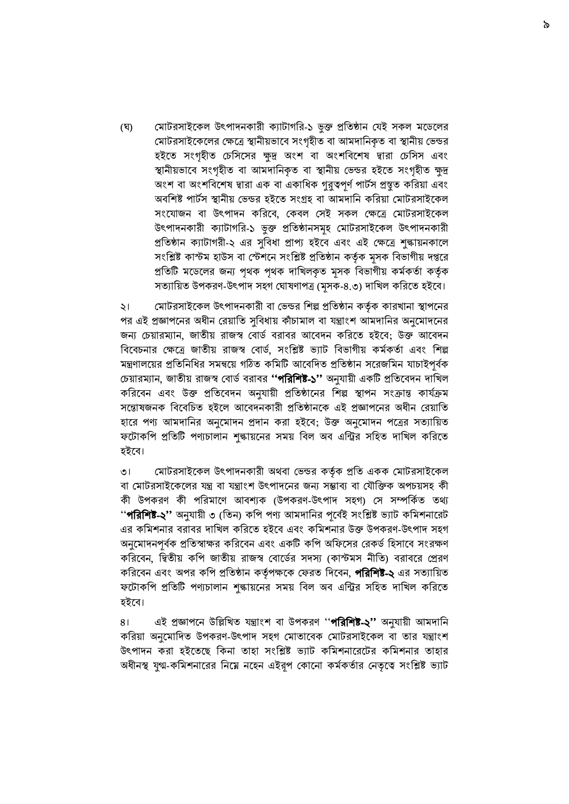(ঘ) মোটরসাইকেল উৎপাদনকারী ক্যাটাগরি-১ ভুক্ত প্রতিষ্ঠান যেই সকল মডেলের মোটরসাইকেলের ক্ষেত্রে স্থানীয়ভাবে সংগৃহীত বা আমদানিকৃত বা স্থানীয় ভেন্ডর হইতে সংগৃহীত চেসিসের ক্ষুদ্র অংশ বা অংশবিশেষ দ্বারা চেসিস এবং স্থানীয়ভাবে সংগৃহীত বা আমদানিকৃত বা স্থানীয় ভেন্ডর হইতে সংগৃহীত ক্ষুদ্র অংশ বা অংশবিশেষ দ্বারা এক বা একাধিক গুরুত্বপূর্ণ পার্টস প্রস্থুত করিয়া এবং অবশিষ্ট পার্টস স্থানীয় ভেন্ডর হইতে সংগ্রহ বা আমদানি করিয়া মোটরসাইকেল সংযোজন বা উৎপাদন করিবে, কেবল সেই সকল ক্ষেত্রে মোটরসাইকেল উৎপাদনকারী কৈাটাগবর-১ ভুক্ত প্রবতষ্ঠানসমূহ বমাররসাইদকল উপপােনকারী প্রতিষ্ঠান ক্যাটাগরী-২ এর সুবিধা প্রাপ্য হইবে এবং এই ক্ষেত্রে শুল্কায়নকালে সংশ্লিষ্ট কাস্টম হাউস বা স্টেশনে সংশ্লিষ্ট প্রতিষ্ঠান কর্তৃক মূসক বিভাগীয় দপ্তরে প্রতিটি মডেলের জন্য পৃথক পৃথক দাখিলকৃত মূসক বিভাগীয় কর্মকর্তা কর্তৃক সত্যায়িত উপকরণ-উৎপাদ সহগ ঘোষণাপত্র (মূসক-৪.৩) দাখিল করিতে হইবে।

২। মোটরসাইকেল উৎপাদনকারী বা ভেন্ডর শিল্প প্রতিষ্ঠান কর্তৃক কারখানা স্থাপনের পর এই প্রজ্ঞাপদনর অধীন বরয়াবত সুববধায় কাঁচামাল বা ন্ত্রাাংশ আমোবনর অনুদমােদনর জন্য চেয়ারম্যান, জাতীয় রাজস্ব বোর্ড বরাবর আবেদন করিতে হইবে; উক্ত আবেদন বিবেচনার ক্ষেত্রে জাতীয় রাজস্ব বোর্ড, সংশ্লিষ্ট ভ্যাট বিভাগীয় কর্মকর্তা এবং শিল্প মন্ত্রণালয়ের প্রতিনিধির সমন্বয়ে গঠিত কমিটি আবেদিত প্রতিষ্ঠান সরেজমিন যাচাইপূর্বক চেয়ারম্যান, জাতীয় রাজস্ব বোর্ড বরাবর **''পরিশিষ্ট-১''** অনুযায়ী একটি প্রতিবেদন দাখিল করিবেন এবং উক্ত প্রতিবেদন অনুযায়ী প্রতিষ্ঠানের শিল্প স্থাপন সংক্রান্ত কার্যক্রম সন্তোষজনক বিবেচিত হইলে আবেদনকারী প্রতিষ্ঠানকে এই প্রজ্ঞাপনের অধীন রেয়াতি হারে পণ্য আমদানির অনুমোদন প্রদান করা হইবে; উক্ত অনুমোদন পত্রের সত্যায়িত ফদরাকবপ প্রবতি পেচালান শুল্কায়দনর সময় ববল অব এবির সবিত োবখল কবরদত হইবে।

৩। বমাররসাইদকল উপপােনকারী অর্বা বভ্ন্ডর কর্তকথ প্রবত একক বমাররসাইদকল বা মোটরসাইকেলের যন্ত্র বা যন্ত্রাংশ উৎপাদনের জন্য সম্ভাব্য বা যৌক্তিক অপচয়সহ কী কী উপকরণ কী পবরমাদণ আবশ্যক (উপকরণ-উপপাে সিগ) বস সম্পবকথত তথ্য ''পরিশিষ্ট-২'' অনুযায়ী ৩ (তিন) কপি পণ্য আমদানির পূর্বেই সংশ্লিষ্ট ভ্যাট কমিশনারেট এর কমিশনার বরাবর দাখিল করিতে হইবে এবং কমিশনার উক্ত উপকরণ-উৎপাদ সহগ অনুমােদনপূর্বক প্রতিস্বাক্ষর করিবেন এবং একটি কপি অফিসের রেকর্ড হিসাবে সংরক্ষণ করিবেন, দ্বিতীয় কপি জাতীয় রাজস্ব বোর্ডের সদস্য (কাস্টমস নীতি) বরাবরে প্রেরণ করিবেন এবং অপর কপি প্রতিষ্ঠান কর্তৃপক্ষকে ফেরত দিবেন, **পরিশিষ্ট-২** এর সত্যায়িত ফদরাকবপ প্রবতি পেচালান শুল্কায়দনর সময় ববল অব এবির সবিত োবখল কবরদত িইদব।

৪। এই প্রজ্ঞাপনে উল্লিখিত যন্ত্রাংশ বা উপকরণ ''**পরিশিষ্ট-২''** অনুযায়ী আমদানি করিয়া অনুমোদিত উপকরণ-উৎপাদ সহগ মোতাবেক মোটরসাইকেল বা তার যন্ত্রাংশ উৎপাদন করা হইতেছে কিনা তাহা সংশ্লিষ্ট ভ্যাট কমিশনারেটের কমিশনার তাহার অধীনস্থ যুগ্ম-কমিশনারের নিম্নে নহেন এইরূপ কোনো কর্মকর্তার নেতৃত্বে সংশ্লিষ্ট ভ্যাট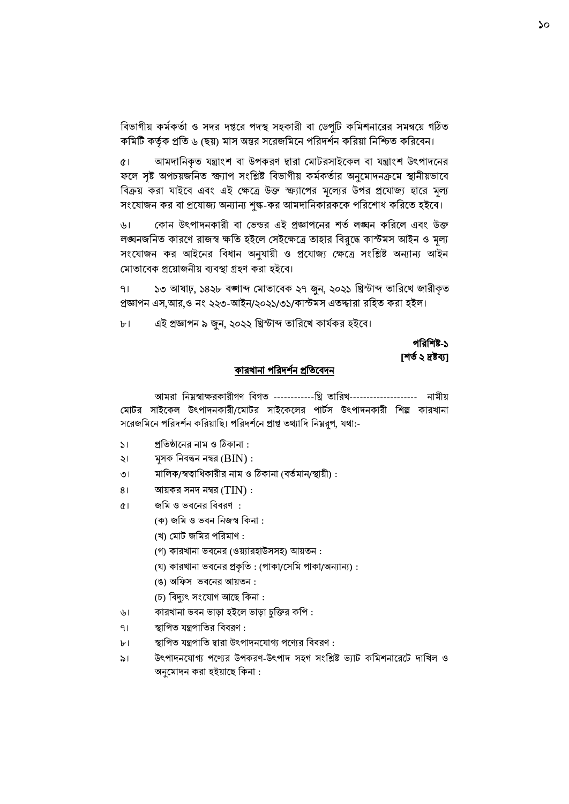বিভাগীয় কর্মকর্তা ও সদর দপ্তরে পদস্থ সহকারী বা ডেপুটি কমিশনারের সমন্বয়ে গঠিত কমিটি কর্তৃক প্রতি ৬ (ছয়) মাস অন্তর সরেজমিনে পরিদর্শন করিয়া নিশ্চিত করিবেন।

৫। আমদানিকৃত যন্ত্রাংশ বা উপকরণ দ্বারা মোটরসাইকেল বা যন্ত্রাংশ উৎপাদনের ফলে সৃষ্ট অপচয়জনিত স্ক্র্যাপ সংশ্লিষ্ট বিভাগীয় কর্মকর্তার অনুমোদনক্রমে স্থানীয়ভাবে বিক্রয় করা যাইবে এবং এই ক্ষেত্রে উক্ত স্ক্র্যাপের মূল্যের উপর প্রযোজ্য হারে মূল্য সংযোজন কর বা প্রযোজ্য অন্যান্য শুল্ক-কর আমদানিকারককে পরিশোধ করিতে হইবে।

৬। বকান উৎপাদনকারী বা ভেন্ডর এই প্রজ্ঞাপনের শর্ত লঙ্ঘন করিলে এবং উক্ত লঙ্ঘনজবনত কারদণ রাজস্ব ক্ষবত িইদল বসইদক্ষদে তািার ববরুদে কাস্টমস আইন ও মূল্য সংযোজন কর আইনের বিধান অনুযায়ী ও প্রযোজ্য ক্ষেত্রে সংশ্লিষ্ট অন্যান্য আইন মোতাবেক প্রয়োজনীয় ব্যবস্থা গ্রহণ করা হইবে।

৭। ১৩ আষাঢ়, ১৪২৮ বঙ্গাব্দ শমাতাবিক ২৭ জুন, ২০২১ বিস্টাব্দ তাবরদখ জারীকৃত প্রজ্ঞাপন এস,আর,ও নং ২২৩-আইন/২০২১/৩১/কাস্টমস এতদ্দ্বারা রহিত করা হইল।

৮। এই প্রজ্ঞাপন ৯ জুন, ২০২২ খ্রিস্টাব্দ তারিখে কার্যকর হইবে।

### পবরবশষ্ট-১ [েত ত২ দ্রষ্টব্য]

#### <u>কারখানা পরিদর্শন প্রতিবেদন</u>

আমরা বন্নবস্বাক্ষরকারীগণ ববগত ------------বি তাবরখ-------------------- নামীয় মোটর সাইকেল উৎপাদনকারী/মোটর সাইকেলের পার্টস উৎপাদনকারী শিল্প কারখানা সরেজমিনে পরিদর্শন করিয়াছি। পরিদর্শনে প্রাপ্ত তথ্যাদি নিম্নরূপ, যথা:-

- ১। প্রতিষ্ঠানের নাম ও ঠিকানা :
- ২। মূসক বনবিন নম্বর (BIN) :
- ৩। মালিক/স্বত্বাধিকারীর নাম ও ঠিকানা (বর্তমান/স্থায়ী) :
- $81$  আয়কর সনদ নম্বর  $(TIN):$
- ৫। জবম ও ভ্বদনর বববরণ :
	- (ক) জবম ও ভ্বন বনজস্ব বকনা :
	- (খ) বমার জবমর পবরমাণ :
	- (গ) কারখানা ভ্বদনর (ওয়যারিাউসসি) আয়তন :
	- (ঘ) কারখানা ভ্বদনর প্রকৃবত : (পাকা/দসবম পাকা/অন্যান্য) :
	- (ঙ) অবফস ভ্বদনর আয়তন :
	- (চ) বিদ্যুৎ সংযোগ আছে কিনা :
- ৬। কারখানা ভবন ভাড়া হইলে ভাড়া চুক্তির কপি :
- ৭। স্থাপিত যন্ত্রপাতির বিবরণ :
- ৮। স্থাপিত যন্ত্রপাতি দ্বারা উৎপাদনযোগ্য পণ্যের বিবরণ :
- ৯। উৎপাদনযোগ্য পণ্যের উপকরণ-উৎপাদ সহগ সংশ্লিষ্ট ভ্যাট কমিশনারেটে দাখিল ও অনুমোদন করা হইয়াছে কিনা :